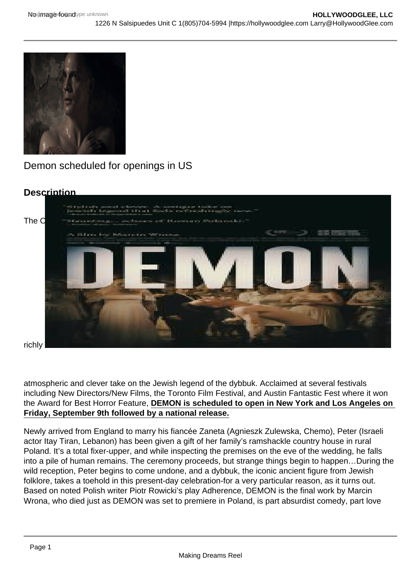Demon scheduled for openings in US

**Description** 

The [Orchard is proud to announce the US release of DEMON, Polish director Marcin Wrona's eerie,](https://i0.wp.com/hollywoodglee.com/wp-content/uploads/2016/08/demon_poster_final.jpg?ssl=1)

richly

atmospheric and clever take on the Jewish legend of the dybbuk. Acclaimed at several festivals including New Directors/New Films, the Toronto Film Festival, and Austin Fantastic Fest where it won the Award for Best Horror Feature, DEMON is scheduled to open in New York and Los Angeles on Friday, September 9th followed by a national release.

Newly arrived from England to marry his fiancée Zaneta (Agnieszk Zulewska, Chemo), Peter (Israeli actor Itay Tiran, Lebanon) has been given a gift of her family's ramshackle country house in rural Poland. It's a total fixer-upper, and while inspecting the premises on the eve of the wedding, he falls into a pile of human remains. The ceremony proceeds, but strange things begin to happen…During the wild reception, Peter begins to come undone, and a dybbuk, the iconic ancient figure from Jewish folklore, takes a toehold in this present-day celebration-for a very particular reason, as it turns out. Based on noted Polish writer Piotr Rowicki's play Adherence, DEMON is the final work by Marcin Wrona, who died just as DEMON was set to premiere in Poland, is part absurdist comedy, part love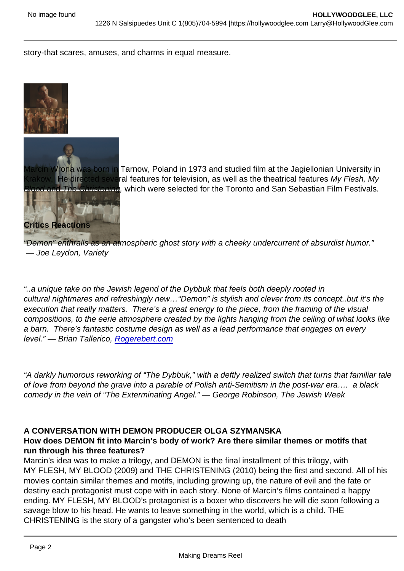story-that scares, amuses, and charms in equal measure.

[Marcin Wrona was born in](https://hollywoodglee.com/2016/08/06/demon-scheduled-for-openings-in-us/82_1_3-sync-01/) Tarnow, Poland in 1973 and studied film at the Jagiellonian University in Krakow. He directed several features for television, as well as the theatrical features My Flesh, My Blood and The Christening, which were selected for the Toronto and San Sebastian Film Festivals.

#### [Critics Reactions](https://hollywoodglee.com/2016/08/06/demon-scheduled-for-openings-in-us/demon-2015-indie/)

"Demon" enthralls as an atmospheric ghost story with a cheeky undercurrent of absurdist humor." — Joe Leydon, Variety

"..a unique take on the Jewish legend of the Dybbuk that feels both deeply rooted in cultural nightmares and refreshingly new…"Demon" is stylish and clever from its concept..but it's the execution that really matters. There's a great energy to the piece, from the framing of the visual compositions, to the eerie atmosphere created by the lights hanging from the ceiling of what looks like a barn. There's fantastic costume design as well as a lead performance that engages on every level." — Brian Tallerico, [Rogerebert.com](http://click.icptrack.com/icp/relay.php?r=55230062&msgid=1216051&act=1K35&c=290935&destination=http://rogerebert.com)

"A darkly humorous reworking of "The Dybbuk," with a deftly realized switch that turns that familiar tale of love from beyond the grave into a parable of Polish anti-Semitism in the post-war era…. a black comedy in the vein of "The Exterminating Angel." — George Robinson, The Jewish Week

#### A CONVERSATION WITH DEMON PRODUCER OLGA SZYMANSKA

How does DEMON fit into Marcin's body of work? Are there similar themes or motifs that run through his three features?

Marcin's idea was to make a trilogy, and DEMON is the final installment of this trilogy, with MY FLESH, MY BLOOD (2009) and THE CHRISTENING (2010) being the first and second. All of his movies contain similar themes and motifs, including growing up, the nature of evil and the fate or destiny each protagonist must cope with in each story. None of Marcin's films contained a happy ending. MY FLESH, MY BLOOD's protagonist is a boxer who discovers he will die soon following a savage blow to his head. He wants to leave something in the world, which is a child. THE CHRISTENING is the story of a gangster who's been sentenced to death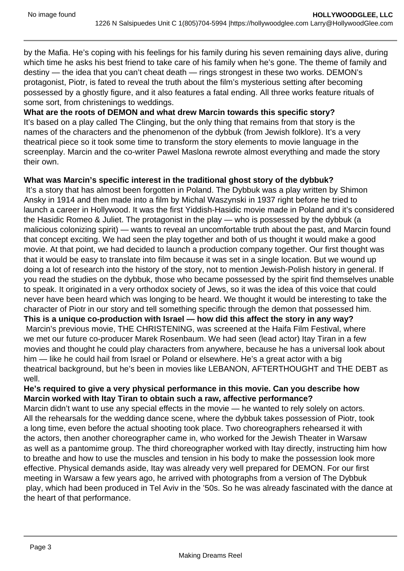by the Mafia. He's coping with his feelings for his family during his seven remaining days alive, during which time he asks his best friend to take care of his family when he's gone. The theme of family and destiny — the idea that you can't cheat death — rings strongest in these two works. DEMON's protagonist, Piotr, is fated to reveal the truth about the film's mysterious setting after becoming possessed by a ghostly figure, and it also features a fatal ending. All three works feature rituals of some sort, from christenings to weddings.

#### **What are the roots of DEMON and what drew Marcin towards this specific story?**

It's based on a play called The Clinging, but the only thing that remains from that story is the names of the characters and the phenomenon of the dybbuk (from Jewish folklore). It's a very theatrical piece so it took some time to transform the story elements to movie language in the screenplay. Marcin and the co-writer Pawel Maslona rewrote almost everything and made the story their own.

#### **What was Marcin's specific interest in the traditional ghost story of the dybbuk?**

 It's a story that has almost been forgotten in Poland. The Dybbuk was a play written by Shimon Ansky in 1914 and then made into a film by Michal Waszynski in 1937 right before he tried to launch a career in Hollywood. It was the first Yiddish-Hasidic movie made in Poland and it's considered the Hasidic Romeo & Juliet. The protagonist in the play — who is possessed by the dybbuk (a malicious colonizing spirit) — wants to reveal an uncomfortable truth about the past, and Marcin found that concept exciting. We had seen the play together and both of us thought it would make a good movie. At that point, we had decided to launch a production company together. Our first thought was that it would be easy to translate into film because it was set in a single location. But we wound up doing a lot of research into the history of the story, not to mention Jewish-Polish history in general. If you read the studies on the dybbuk, those who became possessed by the spirit find themselves unable to speak. It originated in a very orthodox society of Jews, so it was the idea of this voice that could never have been heard which was longing to be heard. We thought it would be interesting to take the character of Piotr in our story and tell something specific through the demon that possessed him. **This is a unique co-production with Israel — how did this affect the story in any way?**  Marcin's previous movie, THE CHRISTENING, was screened at the Haifa Film Festival, where we met our future co-producer Marek Rosenbaum. We had seen (lead actor) Itay Tiran in a few movies and thought he could play characters from anywhere, because he has a universal look about him — like he could hail from Israel or Poland or elsewhere. He's a great actor with a big theatrical background, but he's been in movies like LEBANON, AFTERTHOUGHT and THE DEBT as well.

### **He's required to give a very physical performance in this movie. Can you describe how Marcin worked with Itay Tiran to obtain such a raw, affective performance?**

Marcin didn't want to use any special effects in the movie — he wanted to rely solely on actors. All the rehearsals for the wedding dance scene, where the dybbuk takes possession of Piotr, took a long time, even before the actual shooting took place. Two choreographers rehearsed it with the actors, then another choreographer came in, who worked for the Jewish Theater in Warsaw as well as a pantomime group. The third choreographer worked with Itay directly, instructing him how to breathe and how to use the muscles and tension in his body to make the possession look more effective. Physical demands aside, Itay was already very well prepared for DEMON. For our first meeting in Warsaw a few years ago, he arrived with photographs from a version of The Dybbuk play, which had been produced in Tel Aviv in the '50s. So he was already fascinated with the dance at the heart of that performance.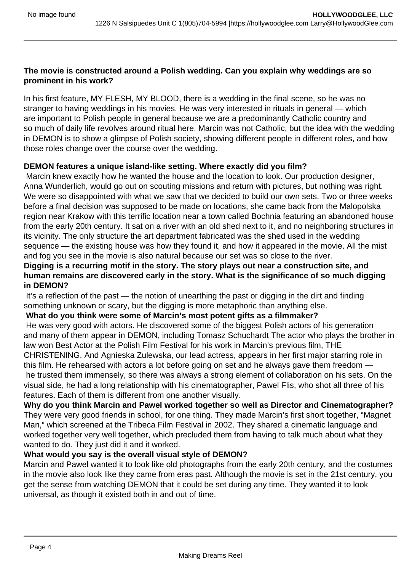#### **The movie is constructed around a Polish wedding. Can you explain why weddings are so prominent in his work?**

In his first feature, MY FLESH, MY BLOOD, there is a wedding in the final scene, so he was no stranger to having weddings in his movies. He was very interested in rituals in general — which are important to Polish people in general because we are a predominantly Catholic country and so much of daily life revolves around ritual here. Marcin was not Catholic, but the idea with the wedding in DEMON is to show a glimpse of Polish society, showing different people in different roles, and how those roles change over the course over the wedding.

## **DEMON features a unique island-like setting. Where exactly did you film?**

 Marcin knew exactly how he wanted the house and the location to look. Our production designer, Anna Wunderlich, would go out on scouting missions and return with pictures, but nothing was right. We were so disappointed with what we saw that we decided to build our own sets. Two or three weeks before a final decision was supposed to be made on locations, she came back from the Malopolska region near Krakow with this terrific location near a town called Bochnia featuring an abandoned house from the early 20th century. It sat on a river with an old shed next to it, and no neighboring structures in its vicinity. The only structure the art department fabricated was the shed used in the wedding sequence — the existing house was how they found it, and how it appeared in the movie. All the mist and fog you see in the movie is also natural because our set was so close to the river.

### **Digging is a recurring motif in the story. The story plays out near a construction site, and human remains are discovered early in the story. What is the significance of so much digging in DEMON?**

 It's a reflection of the past — the notion of unearthing the past or digging in the dirt and finding something unknown or scary, but the digging is more metaphoric than anything else.

### **What do you think were some of Marcin's most potent gifts as a filmmaker?**

 He was very good with actors. He discovered some of the biggest Polish actors of his generation and many of them appear in DEMON, including Tomasz Schuchardt The actor who plays the brother in law won Best Actor at the Polish Film Festival for his work in Marcin's previous film, THE CHRISTENING. And Agnieska Zulewska, our lead actress, appears in her first major starring role in this film. He rehearsed with actors a lot before going on set and he always gave them freedom he trusted them immensely, so there was always a strong element of collaboration on his sets. On the visual side, he had a long relationship with his cinematographer, Pawel Flis, who shot all three of his features. Each of them is different from one another visually.

**Why do you think Marcin and Pawel worked together so well as Director and Cinematographer?**  They were very good friends in school, for one thing. They made Marcin's first short together, "Magnet Man," which screened at the Tribeca Film Festival in 2002. They shared a cinematic language and worked together very well together, which precluded them from having to talk much about what they wanted to do. They just did it and it worked.

### **What would you say is the overall visual style of DEMON?**

Marcin and Pawel wanted it to look like old photographs from the early 20th century, and the costumes in the movie also look like they came from eras past. Although the movie is set in the 21st century, you get the sense from watching DEMON that it could be set during any time. They wanted it to look universal, as though it existed both in and out of time.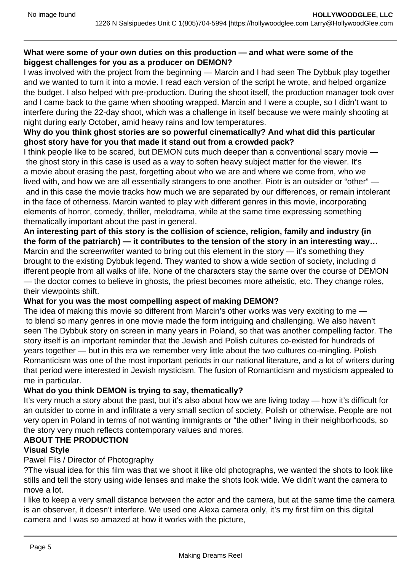### **What were some of your own duties on this production — and what were some of the biggest challenges for you as a producer on DEMON?**

I was involved with the project from the beginning — Marcin and I had seen The Dybbuk play together and we wanted to turn it into a movie. I read each version of the script he wrote, and helped organize the budget. I also helped with pre-production. During the shoot itself, the production manager took over and I came back to the game when shooting wrapped. Marcin and I were a couple, so I didn't want to interfere during the 22-day shoot, which was a challenge in itself because we were mainly shooting at night during early October, amid heavy rains and low temperatures.

### **Why do you think ghost stories are so powerful cinematically? And what did this particular ghost story have for you that made it stand out from a crowded pack?**

I think people like to be scared, but DEMON cuts much deeper than a conventional scary movie the ghost story in this case is used as a way to soften heavy subject matter for the viewer. It's a movie about erasing the past, forgetting about who we are and where we come from, who we lived with, and how we are all essentially strangers to one another. Piotr is an outsider or "other" and in this case the movie tracks how much we are separated by our differences, or remain intolerant in the face of otherness. Marcin wanted to play with different genres in this movie, incorporating elements of horror, comedy, thriller, melodrama, while at the same time expressing something thematically important about the past in general.

**An interesting part of this story is the collision of science, religion, family and industry (in the form of the patriarch) — it contributes to the tension of the story in an interesting way…** Marcin and the screenwriter wanted to bring out this element in the story — it's something they brought to the existing Dybbuk legend. They wanted to show a wide section of society, including d ifferent people from all walks of life. None of the characters stay the same over the course of DEMON — the doctor comes to believe in ghosts, the priest becomes more atheistic, etc. They change roles, their viewpoints shift.

### **What for you was the most compelling aspect of making DEMON?**

The idea of making this movie so different from Marcin's other works was very exciting to me to blend so many genres in one movie made the form intriguing and challenging. We also haven't seen The Dybbuk story on screen in many years in Poland, so that was another compelling factor. The story itself is an important reminder that the Jewish and Polish cultures co-existed for hundreds of years together — but in this era we remember very little about the two cultures co-mingling. Polish Romanticism was one of the most important periods in our national literature, and a lot of writers during that period were interested in Jewish mysticism. The fusion of Romanticism and mysticism appealed to me in particular.

### **What do you think DEMON is trying to say, thematically?**

It's very much a story about the past, but it's also about how we are living today — how it's difficult for an outsider to come in and infiltrate a very small section of society, Polish or otherwise. People are not very open in Poland in terms of not wanting immigrants or "the other" living in their neighborhoods, so the story very much reflects contemporary values and mores.

# **ABOUT THE PRODUCTION**

### **Visual Style**

### Pawel Flis / Director of Photography

?The visual idea for this film was that we shoot it like old photographs, we wanted the shots to look like stills and tell the story using wide lenses and make the shots look wide. We didn't want the camera to move a lot.

I like to keep a very small distance between the actor and the camera, but at the same time the camera is an observer, it doesn't interfere. We used one Alexa camera only, it's my first film on this digital camera and I was so amazed at how it works with the picture,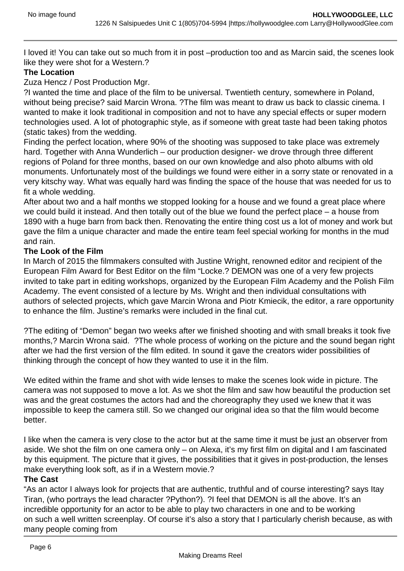I loved it! You can take out so much from it in post –production too and as Marcin said, the scenes look like they were shot for a Western.?

### **The Location**

Zuza Hencz / Post Production Mgr.

?I wanted the time and place of the film to be universal. Twentieth century, somewhere in Poland, without being precise? said Marcin Wrona. ?The film was meant to draw us back to classic cinema. I wanted to make it look traditional in composition and not to have any special effects or super modern technologies used. A lot of photographic style, as if someone with great taste had been taking photos (static takes) from the wedding.

Finding the perfect location, where 90% of the shooting was supposed to take place was extremely hard. Together with Anna Wunderlich – our production designer- we drove through three different regions of Poland for three months, based on our own knowledge and also photo albums with old monuments. Unfortunately most of the buildings we found were either in a sorry state or renovated in a very kitschy way. What was equally hard was finding the space of the house that was needed for us to fit a whole wedding.

After about two and a half months we stopped looking for a house and we found a great place where we could build it instead. And then totally out of the blue we found the perfect place – a house from 1890 with a huge barn from back then. Renovating the entire thing cost us a lot of money and work but gave the film a unique character and made the entire team feel special working for months in the mud and rain.

## **The Look of the Film**

In March of 2015 the filmmakers consulted with Justine Wright, renowned editor and recipient of the European Film Award for Best Editor on the film "Locke.? DEMON was one of a very few projects invited to take part in editing workshops, organized by the European Film Academy and the Polish Film Academy. The event consisted of a lecture by Ms. Wright and then individual consultations with authors of selected projects, which gave Marcin Wrona and Piotr Kmiecik, the editor, a rare opportunity to enhance the film. Justine's remarks were included in the final cut.

?The editing of "Demon" began two weeks after we finished shooting and with small breaks it took five months,? Marcin Wrona said. ?The whole process of working on the picture and the sound began right after we had the first version of the film edited. In sound it gave the creators wider possibilities of thinking through the concept of how they wanted to use it in the film.

We edited within the frame and shot with wide lenses to make the scenes look wide in picture. The camera was not supposed to move a lot. As we shot the film and saw how beautiful the production set was and the great costumes the actors had and the choreography they used we knew that it was impossible to keep the camera still. So we changed our original idea so that the film would become better.

I like when the camera is very close to the actor but at the same time it must be just an observer from aside. We shot the film on one camera only – on Alexa, it's my first film on digital and I am fascinated by this equipment. The picture that it gives, the possibilities that it gives in post-production, the lenses make everything look soft, as if in a Western movie.?

#### **The Cast**

"As an actor I always look for projects that are authentic, truthful and of course interesting? says Itay Tiran, (who portrays the lead character ?Python?). ?I feel that DEMON is all the above. It's an incredible opportunity for an actor to be able to play two characters in one and to be working on such a well written screenplay. Of course it's also a story that I particularly cherish because, as with many people coming from